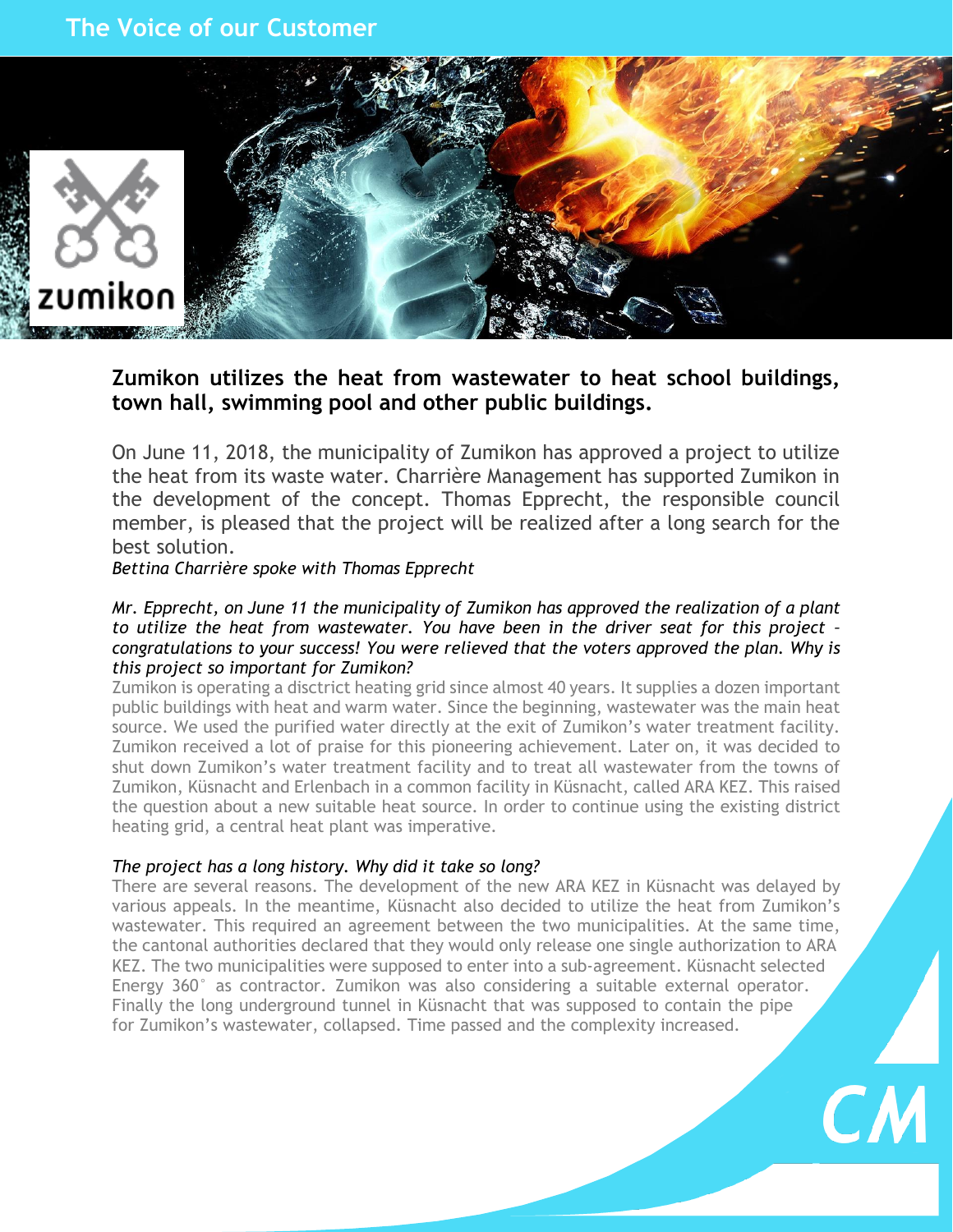# **The Voice of our Customer**



# **Zumikon utilizes the heat from wastewater to heat school buildings, town hall, swimming pool and other public buildings.**

On June 11, 2018, the municipality of Zumikon has approved a project to utilize the heat from its waste water. Charrière Management has supported Zumikon in the development of the concept. Thomas Epprecht, the responsible council member, is pleased that the project will be realized after a long search for the best solution.

*Bettina Charrière spoke with Thomas Epprecht*

## *Mr. Epprecht, on June 11 the municipality of Zumikon has approved the realization of a plant to utilize the heat from wastewater. You have been in the driver seat for this project – congratulations to your success! You were relieved that the voters approved the plan. Why is this project so important for Zumikon?*

Zumikon is operating a disctrict heating grid since almost 40 years. It supplies a dozen important public buildings with heat and warm water. Since the beginning, wastewater was the main heat source. We used the purified water directly at the exit of Zumikon's water treatment facility. Zumikon received a lot of praise for this pioneering achievement. Later on, it was decided to shut down Zumikon's water treatment facility and to treat all wastewater from the towns of Zumikon, Küsnacht and Erlenbach in a common facility in Küsnacht, called ARA KEZ. This raised the question about a new suitable heat source. In order to continue using the existing district heating grid, a central heat plant was imperative.

# *The project has a long history. Why did it take so long?*

There are several reasons. The development of the new ARA KEZ in Küsnacht was delayed by various appeals. In the meantime, Küsnacht also decided to utilize the heat from Zumikon's wastewater. This required an agreement between the two municipalities. At the same time, the cantonal authorities declared that they would only release one single authorization to ARA KEZ. The two municipalities were supposed to enter into a sub-agreement. Küsnacht selected Energy 360° as contractor. Zumikon was also considering a suitable external operator. Finally the long underground tunnel in Küsnacht that was supposed to contain the pipe for Zumikon's wastewater, collapsed. Time passed and the complexity increased.

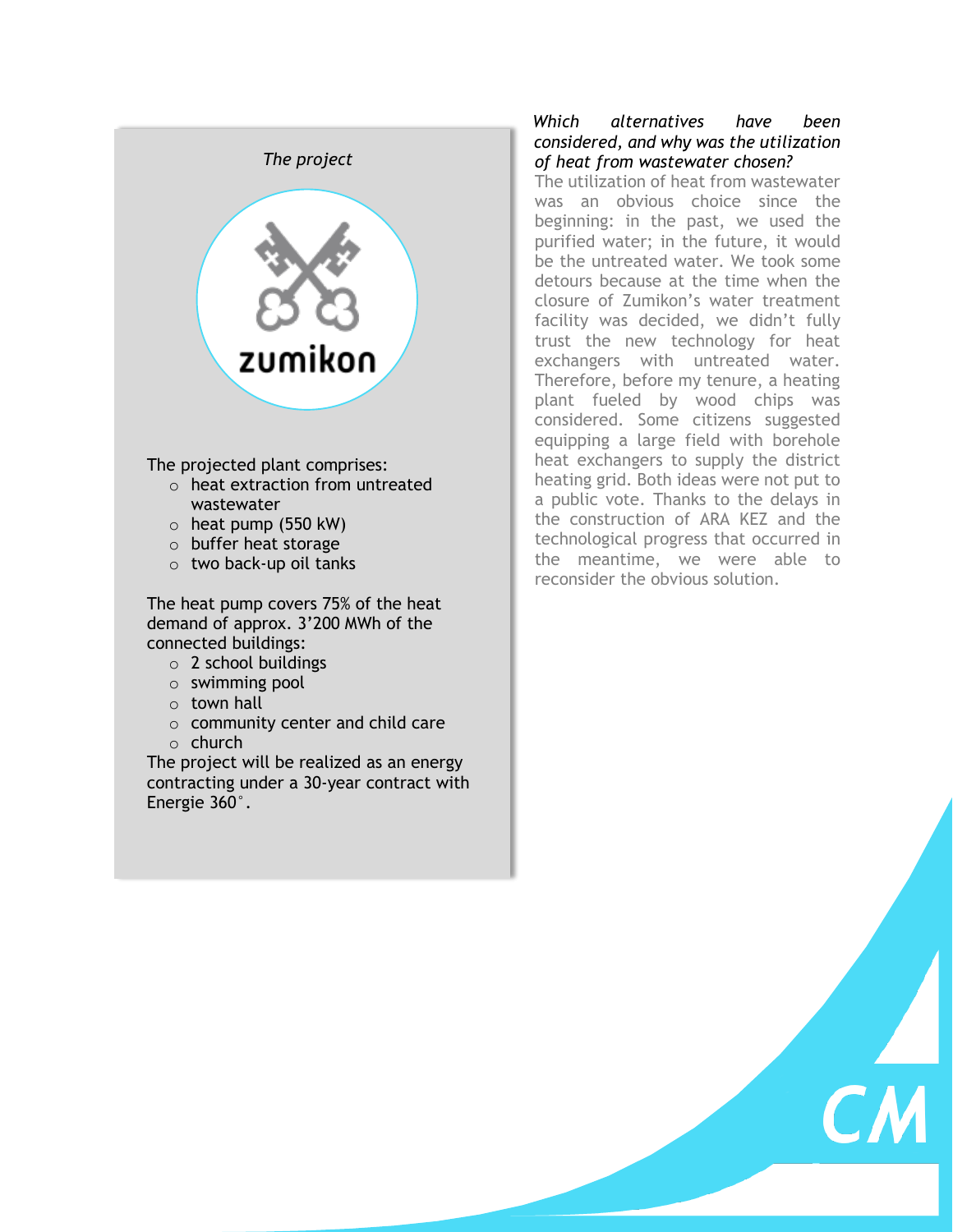

The projected plant comprises:

- $\circ$  heat extraction from untreated wastewater
- $\circ$  heat pump (550 kW)
- o buffer heat storage
- o two back-up oil tanks

The heat pump covers 75% of the heat demand of approx. 3'200 MWh of the connected buildings:

- $\circ$  2 school buildings
- o swimming pool
- $\circ$  town hall
- $\circ$  community center and child care
- o church

The project will be realized as an energy contracting under a 30-year contract with Energie 360°.

## *Which alternatives have been considered, and why was the utilization of heat from wastewater chosen?*

The utilization of heat from wastewater was an obvious choice since the beginning: in the past, we used the purified water; in the future, it would be the untreated water. We took some detours because at the time when the closure of Zumikon's water treatment facility was decided, we didn't fully trust the new technology for heat exchangers with untreated water. Therefore, before my tenure, a heating plant fueled by wood chips was considered. Some citizens suggested equipping a large field with borehole heat exchangers to supply the district heating grid. Both ideas were not put to a public vote. Thanks to the delays in the construction of ARA KEZ and the technological progress that occurred in the meantime, we were able to reconsider the obvious solution.

 $\overline{\mathcal{L}}$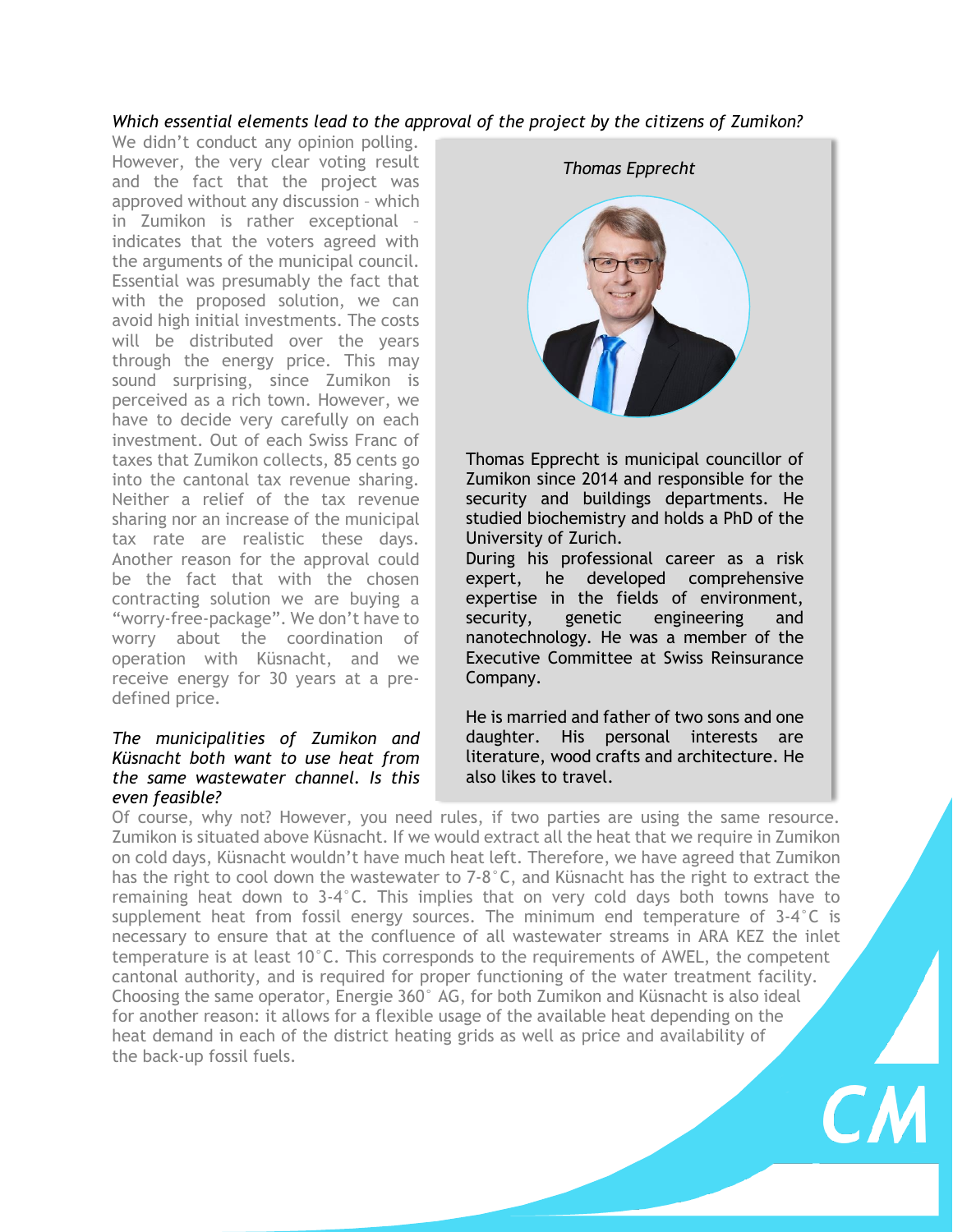# *Which essential elements lead to the approval of the project by the citizens of Zumikon?*

We didn't conduct any opinion polling. However, the very clear voting result and the fact that the project was approved without any discussion – which in Zumikon is rather exceptional – indicates that the voters agreed with the arguments of the municipal council. Essential was presumably the fact that with the proposed solution, we can avoid high initial investments. The costs will be distributed over the years through the energy price. This may sound surprising, since Zumikon is perceived as a rich town. However, we have to decide very carefully on each investment. Out of each Swiss Franc of taxes that Zumikon collects, 85 cents go into the cantonal tax revenue sharing. Neither a relief of the tax revenue sharing nor an increase of the municipal tax rate are realistic these days. Another reason for the approval could be the fact that with the chosen contracting solution we are buying a "worry-free-package". We don't have to worry about the coordination of operation with Küsnacht, and we receive energy for 30 years at a predefined price.

#### *The municipalities of Zumikon and Küsnacht both want to use heat from the same wastewater channel. Is this even feasible?*



Thomas Epprecht is municipal councillor of Zumikon since 2014 and responsible for the security and buildings departments. He studied biochemistry and holds a PhD of the University of Zurich.

During his professional career as a risk expert, he developed comprehensive expertise in the fields of environment, security, genetic engineering and nanotechnology. He was a member of the Executive Committee at Swiss Reinsurance Company.

He is married and father of two sons and one daughter. His personal interests are literature, wood crafts and architecture. He also likes to travel.

Of course, why not? However, you need rules, if two parties are using the same resource. Zumikon is situated above Küsnacht. If we would extract all the heat that we require in Zumikon on cold days, Küsnacht wouldn't have much heat left. Therefore, we have agreed that Zumikon has the right to cool down the wastewater to 7-8°C, and Küsnacht has the right to extract the remaining heat down to 3-4°C. This implies that on very cold days both towns have to supplement heat from fossil energy sources. The minimum end temperature of  $3-4^{\circ}C$  is necessary to ensure that at the confluence of all wastewater streams in ARA KEZ the inlet temperature is at least 10°C. This corresponds to the requirements of AWEL, the competent cantonal authority, and is required for proper functioning of the water treatment facility. Choosing the same operator, Energie 360° AG, for both Zumikon and Küsnacht is also ideal for another reason: it allows for a flexible usage of the available heat depending on the heat demand in each of the district heating grids as well as price and availability of the back-up fossil fuels.